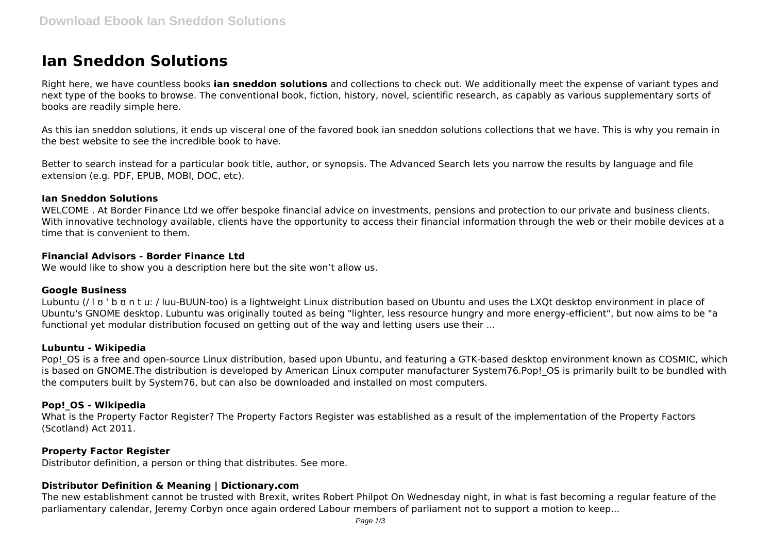# **Ian Sneddon Solutions**

Right here, we have countless books **ian sneddon solutions** and collections to check out. We additionally meet the expense of variant types and next type of the books to browse. The conventional book, fiction, history, novel, scientific research, as capably as various supplementary sorts of books are readily simple here.

As this ian sneddon solutions, it ends up visceral one of the favored book ian sneddon solutions collections that we have. This is why you remain in the best website to see the incredible book to have.

Better to search instead for a particular book title, author, or synopsis. The Advanced Search lets you narrow the results by language and file extension (e.g. PDF, EPUB, MOBI, DOC, etc).

#### **Ian Sneddon Solutions**

WELCOME . At Border Finance Ltd we offer bespoke financial advice on investments, pensions and protection to our private and business clients. With innovative technology available, clients have the opportunity to access their financial information through the web or their mobile devices at a time that is convenient to them.

#### **Financial Advisors - Border Finance Ltd**

We would like to show you a description here but the site won't allow us.

#### **Google Business**

Lubuntu (/ l ʊ ˈ b ʊ n t uː / luu-BUUN-too) is a lightweight Linux distribution based on Ubuntu and uses the LXQt desktop environment in place of Ubuntu's GNOME desktop. Lubuntu was originally touted as being "lighter, less resource hungry and more energy-efficient", but now aims to be "a functional yet modular distribution focused on getting out of the way and letting users use their ...

#### **Lubuntu - Wikipedia**

Pop! OS is a free and open-source Linux distribution, based upon Ubuntu, and featuring a GTK-based desktop environment known as COSMIC, which is based on GNOME. The distribution is developed by American Linux computer manufacturer System76. Pop! OS is primarily built to be bundled with the computers built by System76, but can also be downloaded and installed on most computers.

# **Pop!\_OS - Wikipedia**

What is the Property Factor Register? The Property Factors Register was established as a result of the implementation of the Property Factors (Scotland) Act 2011.

# **Property Factor Register**

Distributor definition, a person or thing that distributes. See more.

# **Distributor Definition & Meaning | Dictionary.com**

The new establishment cannot be trusted with Brexit, writes Robert Philpot On Wednesday night, in what is fast becoming a regular feature of the parliamentary calendar, Jeremy Corbyn once again ordered Labour members of parliament not to support a motion to keep...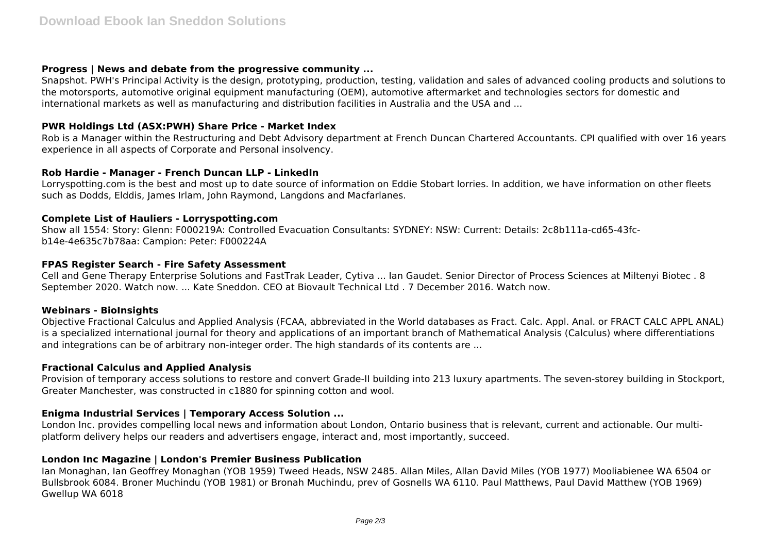# **Progress | News and debate from the progressive community ...**

Snapshot. PWH's Principal Activity is the design, prototyping, production, testing, validation and sales of advanced cooling products and solutions to the motorsports, automotive original equipment manufacturing (OEM), automotive aftermarket and technologies sectors for domestic and international markets as well as manufacturing and distribution facilities in Australia and the USA and ...

# **PWR Holdings Ltd (ASX:PWH) Share Price - Market Index**

Rob is a Manager within the Restructuring and Debt Advisory department at French Duncan Chartered Accountants. CPI qualified with over 16 years experience in all aspects of Corporate and Personal insolvency.

# **Rob Hardie - Manager - French Duncan LLP - LinkedIn**

Lorryspotting.com is the best and most up to date source of information on Eddie Stobart lorries. In addition, we have information on other fleets such as Dodds, Elddis, James Irlam, John Raymond, Langdons and Macfarlanes.

# **Complete List of Hauliers - Lorryspotting.com**

Show all 1554: Story: Glenn: F000219A: Controlled Evacuation Consultants: SYDNEY: NSW: Current: Details: 2c8b111a-cd65-43fcb14e-4e635c7b78aa: Campion: Peter: F000224A

#### **FPAS Register Search - Fire Safety Assessment**

Cell and Gene Therapy Enterprise Solutions and FastTrak Leader, Cytiva ... Ian Gaudet. Senior Director of Process Sciences at Miltenyi Biotec . 8 September 2020. Watch now. ... Kate Sneddon. CEO at Biovault Technical Ltd . 7 December 2016. Watch now.

# **Webinars - BioInsights**

Objective Fractional Calculus and Applied Analysis (FCAA, abbreviated in the World databases as Fract. Calc. Appl. Anal. or FRACT CALC APPL ANAL) is a specialized international journal for theory and applications of an important branch of Mathematical Analysis (Calculus) where differentiations and integrations can be of arbitrary non-integer order. The high standards of its contents are ...

# **Fractional Calculus and Applied Analysis**

Provision of temporary access solutions to restore and convert Grade-II building into 213 luxury apartments. The seven-storey building in Stockport, Greater Manchester, was constructed in c1880 for spinning cotton and wool.

# **Enigma Industrial Services | Temporary Access Solution ...**

London Inc. provides compelling local news and information about London, Ontario business that is relevant, current and actionable. Our multiplatform delivery helps our readers and advertisers engage, interact and, most importantly, succeed.

# **London Inc Magazine | London's Premier Business Publication**

Ian Monaghan, Ian Geoffrey Monaghan (YOB 1959) Tweed Heads, NSW 2485. Allan Miles, Allan David Miles (YOB 1977) Mooliabienee WA 6504 or Bullsbrook 6084. Broner Muchindu (YOB 1981) or Bronah Muchindu, prev of Gosnells WA 6110. Paul Matthews, Paul David Matthew (YOB 1969) Gwellup WA 6018